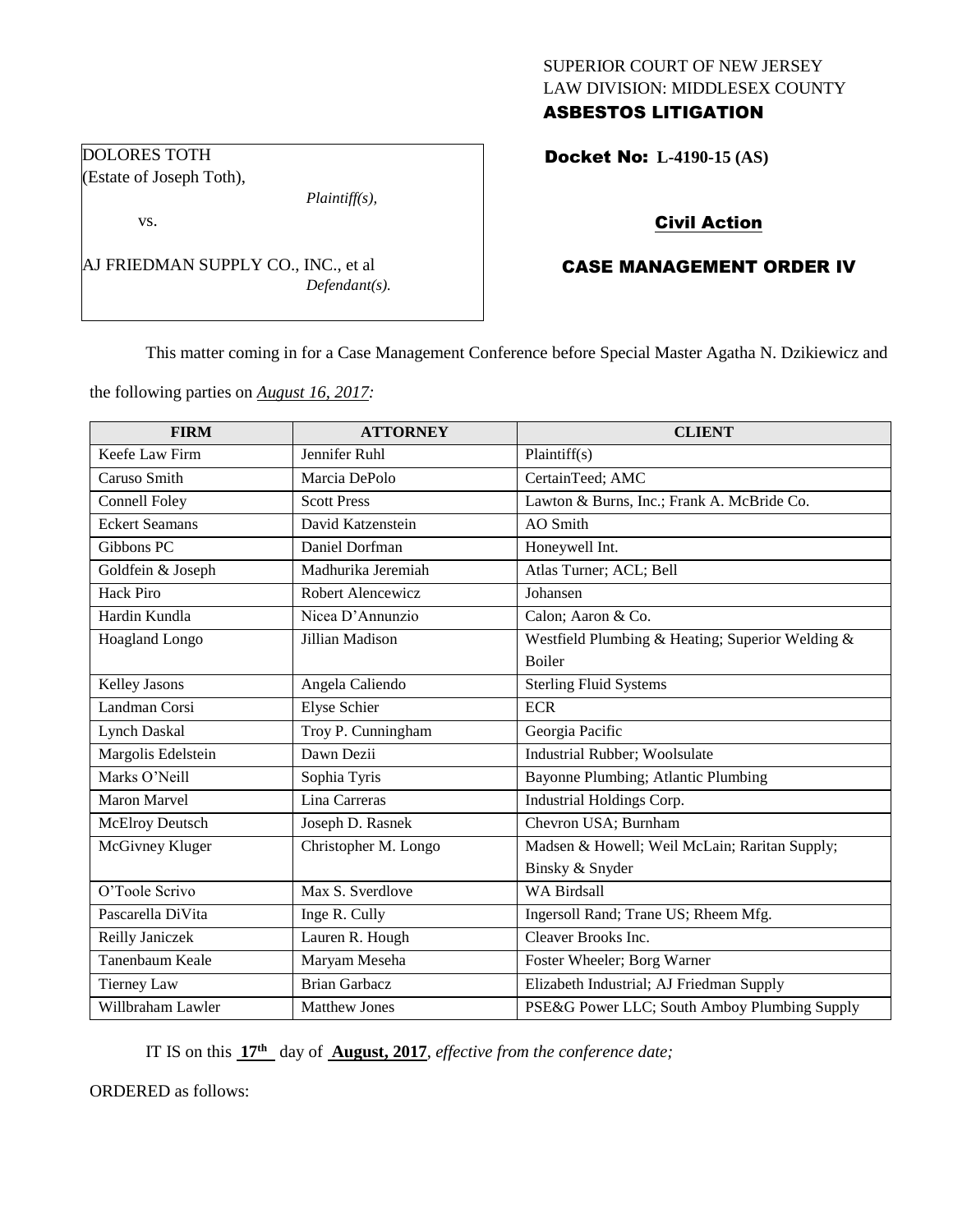## SUPERIOR COURT OF NEW JERSEY LAW DIVISION: MIDDLESEX COUNTY ASBESTOS LITIGATION

Docket No: **L-4190-15 (AS)** 

# Civil Action

# CASE MANAGEMENT ORDER IV

This matter coming in for a Case Management Conference before Special Master Agatha N. Dzikiewicz and

the following parties on *August 16, 2017:*

AJ FRIEDMAN SUPPLY CO., INC., et al

*Plaintiff(s),*

*Defendant(s).*

DOLORES TOTH (Estate of Joseph Toth),

vs.

| <b>FIRM</b>           | <b>ATTORNEY</b>      | <b>CLIENT</b>                                    |
|-----------------------|----------------------|--------------------------------------------------|
| Keefe Law Firm        | Jennifer Ruhl        | Plaintiff(s)                                     |
| Caruso Smith          | Marcia DePolo        | CertainTeed; AMC                                 |
| Connell Foley         | <b>Scott Press</b>   | Lawton & Burns, Inc.; Frank A. McBride Co.       |
| <b>Eckert Seamans</b> | David Katzenstein    | <b>AO</b> Smith                                  |
| Gibbons PC            | Daniel Dorfman       | Honeywell Int.                                   |
| Goldfein & Joseph     | Madhurika Jeremiah   | Atlas Turner; ACL; Bell                          |
| <b>Hack Piro</b>      | Robert Alencewicz    | Johansen                                         |
| Hardin Kundla         | Nicea D'Annunzio     | Calon; Aaron & Co.                               |
| Hoagland Longo        | Jillian Madison      | Westfield Plumbing & Heating; Superior Welding & |
|                       |                      | <b>Boiler</b>                                    |
| Kelley Jasons         | Angela Caliendo      | <b>Sterling Fluid Systems</b>                    |
| Landman Corsi         | <b>Elyse Schier</b>  | <b>ECR</b>                                       |
| Lynch Daskal          | Troy P. Cunningham   | Georgia Pacific                                  |
| Margolis Edelstein    | Dawn Dezii           | Industrial Rubber; Woolsulate                    |
| Marks O'Neill         | Sophia Tyris         | Bayonne Plumbing; Atlantic Plumbing              |
| Maron Marvel          | Lina Carreras        | Industrial Holdings Corp.                        |
| McElroy Deutsch       | Joseph D. Rasnek     | Chevron USA; Burnham                             |
| McGivney Kluger       | Christopher M. Longo | Madsen & Howell; Weil McLain; Raritan Supply;    |
|                       |                      | Binsky & Snyder                                  |
| O'Toole Scrivo        | Max S. Sverdlove     | <b>WA Birdsall</b>                               |
| Pascarella DiVita     | Inge R. Cully        | Ingersoll Rand; Trane US; Rheem Mfg.             |
| Reilly Janiczek       | Lauren R. Hough      | Cleaver Brooks Inc.                              |
| Tanenbaum Keale       | Maryam Meseha        | Foster Wheeler; Borg Warner                      |
| <b>Tierney Law</b>    | <b>Brian Garbacz</b> | Elizabeth Industrial; AJ Friedman Supply         |
| Willbraham Lawler     | <b>Matthew Jones</b> | PSE&G Power LLC; South Amboy Plumbing Supply     |

IT IS on this **17th** day of **August, 2017**, *effective from the conference date;*

ORDERED as follows: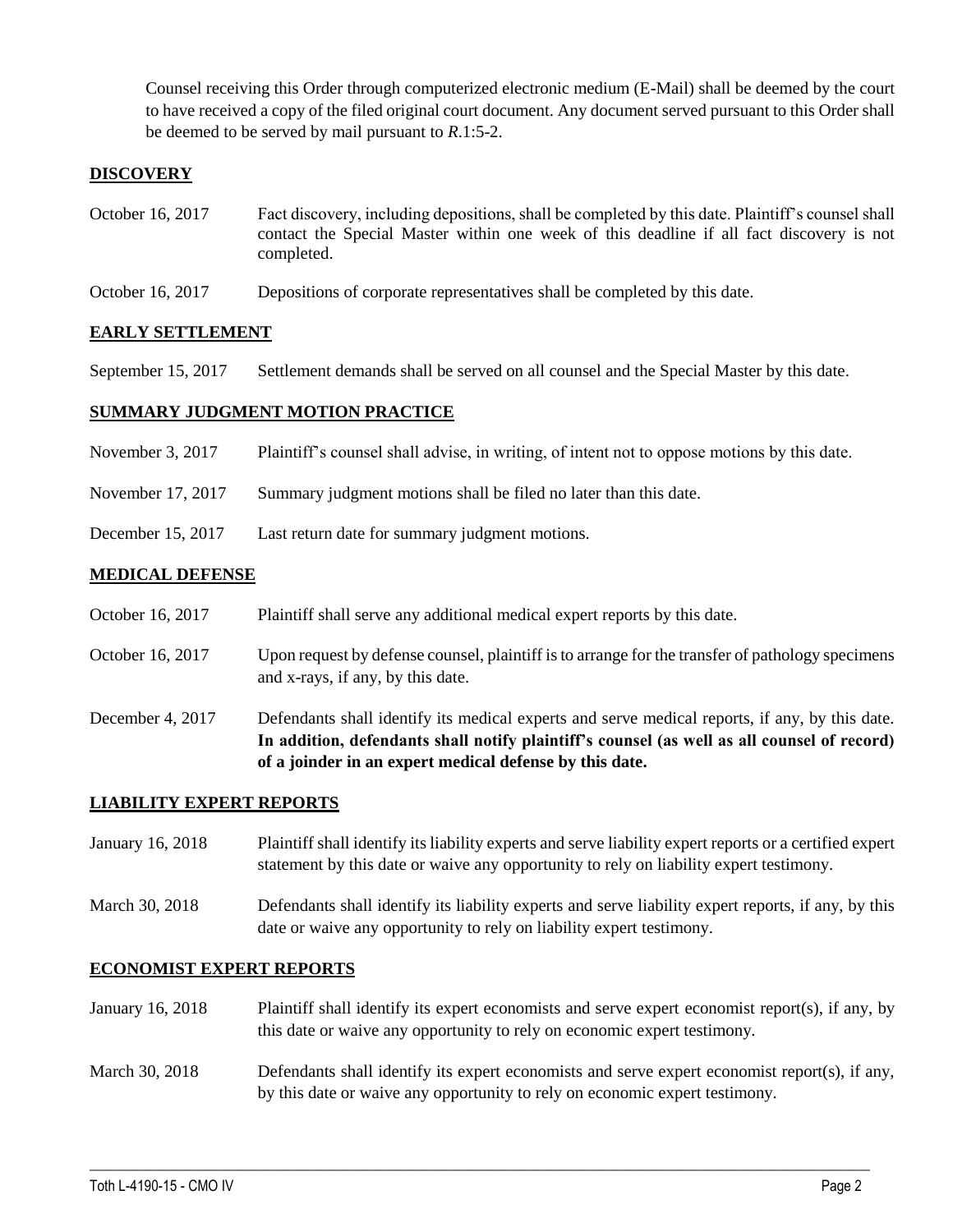Counsel receiving this Order through computerized electronic medium (E-Mail) shall be deemed by the court to have received a copy of the filed original court document. Any document served pursuant to this Order shall be deemed to be served by mail pursuant to *R*.1:5-2.

### **DISCOVERY**

- October 16, 2017 Fact discovery, including depositions, shall be completed by this date. Plaintiff's counsel shall contact the Special Master within one week of this deadline if all fact discovery is not completed.
- October 16, 2017 Depositions of corporate representatives shall be completed by this date.

#### **EARLY SETTLEMENT**

September 15, 2017 Settlement demands shall be served on all counsel and the Special Master by this date.

#### **SUMMARY JUDGMENT MOTION PRACTICE**

- November 3, 2017 Plaintiff's counsel shall advise, in writing, of intent not to oppose motions by this date.
- November 17, 2017 Summary judgment motions shall be filed no later than this date.
- December 15, 2017 Last return date for summary judgment motions.

#### **MEDICAL DEFENSE**

- October 16, 2017 Plaintiff shall serve any additional medical expert reports by this date.
- October 16, 2017 Upon request by defense counsel, plaintiff is to arrange for the transfer of pathology specimens and x-rays, if any, by this date.
- December 4, 2017 Defendants shall identify its medical experts and serve medical reports, if any, by this date. **In addition, defendants shall notify plaintiff's counsel (as well as all counsel of record) of a joinder in an expert medical defense by this date.**

#### **LIABILITY EXPERT REPORTS**

January 16, 2018 Plaintiff shall identify its liability experts and serve liability expert reports or a certified expert statement by this date or waive any opportunity to rely on liability expert testimony.

March 30, 2018 Defendants shall identify its liability experts and serve liability expert reports, if any, by this date or waive any opportunity to rely on liability expert testimony.

#### **ECONOMIST EXPERT REPORTS**

- January 16, 2018 Plaintiff shall identify its expert economists and serve expert economist report(s), if any, by this date or waive any opportunity to rely on economic expert testimony.
- March 30, 2018 Defendants shall identify its expert economists and serve expert economist report(s), if any, by this date or waive any opportunity to rely on economic expert testimony.

 $\_$  ,  $\_$  ,  $\_$  ,  $\_$  ,  $\_$  ,  $\_$  ,  $\_$  ,  $\_$  ,  $\_$  ,  $\_$  ,  $\_$  ,  $\_$  ,  $\_$  ,  $\_$  ,  $\_$  ,  $\_$  ,  $\_$  ,  $\_$  ,  $\_$  ,  $\_$  ,  $\_$  ,  $\_$  ,  $\_$  ,  $\_$  ,  $\_$  ,  $\_$  ,  $\_$  ,  $\_$  ,  $\_$  ,  $\_$  ,  $\_$  ,  $\_$  ,  $\_$  ,  $\_$  ,  $\_$  ,  $\_$  ,  $\_$  ,